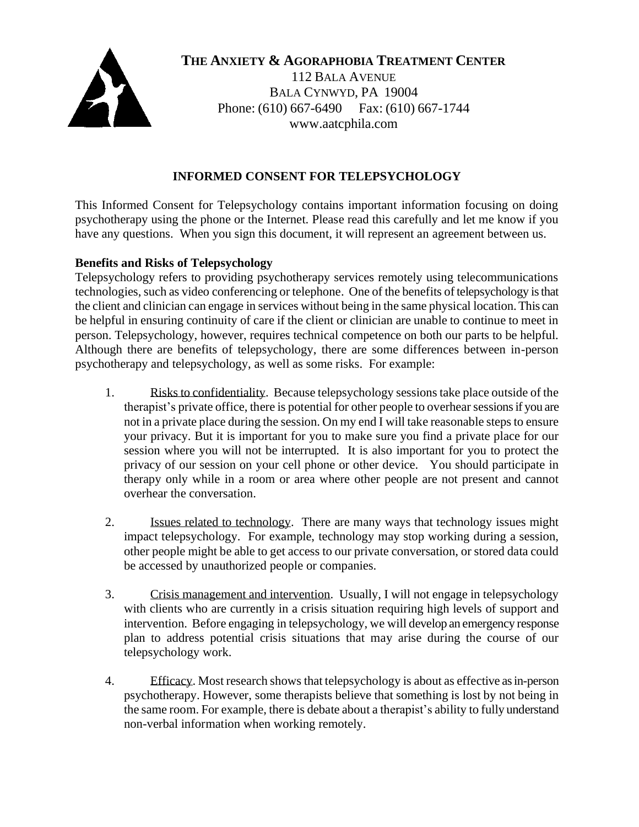

**THE ANXIETY & AGORAPHOBIA TREATMENT CENTER**

112 BALA AVENUE BALA CYNWYD, PA 19004 Phone: (610) 667-6490 Fax: (610) 667-1744 www.aatcphila.com

# **INFORMED CONSENT FOR TELEPSYCHOLOGY**

This Informed Consent for Telepsychology contains important information focusing on doing psychotherapy using the phone or the Internet. Please read this carefully and let me know if you have any questions. When you sign this document, it will represent an agreement between us.

## **Benefits and Risks of Telepsychology**

Telepsychology refers to providing psychotherapy services remotely using telecommunications technologies, such as video conferencing or telephone. One of the benefits of telepsychology is that the client and clinician can engage in services without being in the same physical location. This can be helpful in ensuring continuity of care if the client or clinician are unable to continue to meet in person. Telepsychology, however, requires technical competence on both our parts to be helpful. Although there are benefits of telepsychology, there are some differences between in-person psychotherapy and telepsychology, as well as some risks. For example:

- 1. Risks to confidentiality. Because telepsychology sessions take place outside of the therapist's private office, there is potential for other people to overhearsessionsif you are not in a private place during the session. On my end I will take reasonable steps to ensure your privacy. But it is important for you to make sure you find a private place for our session where you will not be interrupted. It is also important for you to protect the privacy of our session on your cell phone or other device. You should participate in therapy only while in a room or area where other people are not present and cannot overhear the conversation.
- 2. Issues related to technology. There are many ways that technology issues might impact telepsychology. For example, technology may stop working during a session, other people might be able to get access to our private conversation, or stored data could be accessed by unauthorized people or companies.
- 3. Crisis management and intervention. Usually, I will not engage in telepsychology with clients who are currently in a crisis situation requiring high levels of support and intervention. Before engaging in telepsychology, we will develop an emergency response plan to address potential crisis situations that may arise during the course of our telepsychology work.
- 4. Efficacy. Most research shows that telepsychology is about as effective asin-person psychotherapy. However, some therapists believe that something is lost by not being in the same room. For example, there is debate about a therapist's ability to fully understand non-verbal information when working remotely.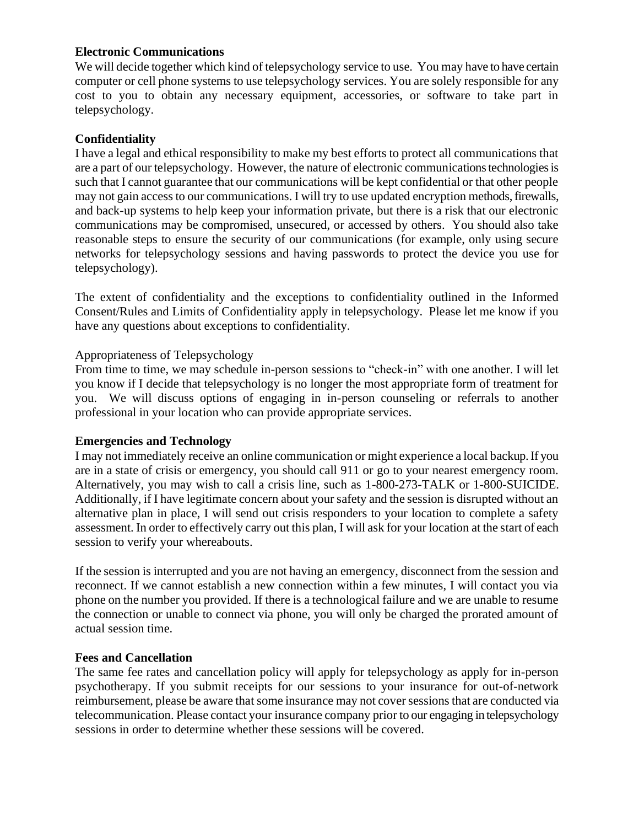## **Electronic Communications**

We will decide together which kind of telepsychology service to use. You may have to have certain computer or cell phone systems to use telepsychology services. You are solely responsible for any cost to you to obtain any necessary equipment, accessories, or software to take part in telepsychology.

# **Confidentiality**

I have a legal and ethical responsibility to make my best efforts to protect all communications that are a part of our telepsychology. However, the nature of electronic communications technologies is such that I cannot guarantee that our communications will be kept confidential or that other people may not gain access to our communications. I will try to use updated encryption methods, firewalls, and back-up systems to help keep your information private, but there is a risk that our electronic communications may be compromised, unsecured, or accessed by others. You should also take reasonable steps to ensure the security of our communications (for example, only using secure networks for telepsychology sessions and having passwords to protect the device you use for telepsychology).

The extent of confidentiality and the exceptions to confidentiality outlined in the Informed Consent/Rules and Limits of Confidentiality apply in telepsychology. Please let me know if you have any questions about exceptions to confidentiality.

## Appropriateness of Telepsychology

From time to time, we may schedule in-person sessions to "check-in" with one another. I will let you know if I decide that telepsychology is no longer the most appropriate form of treatment for you. We will discuss options of engaging in in-person counseling or referrals to another professional in your location who can provide appropriate services.

#### **Emergencies and Technology**

I may not immediately receive an online communication or might experience a local backup. If you are in a state of crisis or emergency, you should call 911 or go to your nearest emergency room. Alternatively, you may wish to call a crisis line, such as 1-800-273-TALK or 1-800-SUICIDE. Additionally, if I have legitimate concern about your safety and the session is disrupted without an alternative plan in place, I will send out crisis responders to your location to complete a safety assessment. In order to effectively carry out this plan, I will ask for your location at the start of each session to verify your whereabouts.

If the session is interrupted and you are not having an emergency, disconnect from the session and reconnect. If we cannot establish a new connection within a few minutes, I will contact you via phone on the number you provided. If there is a technological failure and we are unable to resume the connection or unable to connect via phone, you will only be charged the prorated amount of actual session time.

#### **Fees and Cancellation**

The same fee rates and cancellation policy will apply for telepsychology as apply for in-person psychotherapy. If you submit receipts for our sessions to your insurance for out-of-network reimbursement, please be aware that some insurance may not cover sessions that are conducted via telecommunication. Please contact your insurance company prior to our engaging in telepsychology sessions in order to determine whether these sessions will be covered.